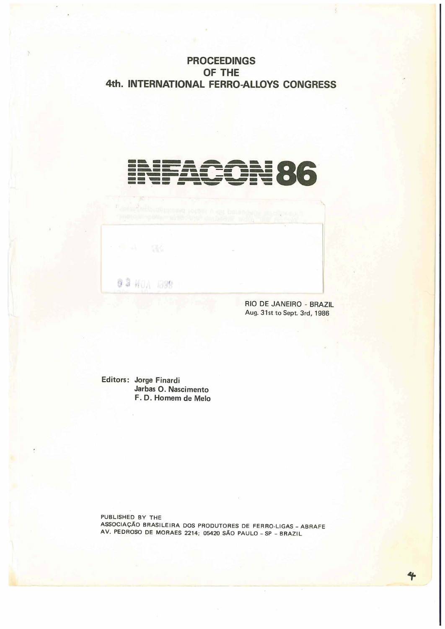## **PROCEEDINGS OF THE 4th. INTERNATIONAL FERRO-ALLOYS CONGRESS**

# **------- ----\_.---.-------- --**~-**----86**. **----- ---- --.--....\_- -- -- ---** . **-- -- -** -~ **---**

@ 2 HOA 1899

RIO DE JANEIRO - BRAZIL Aug. 31st to Sept. 3rd, 1986

Editors: Jorge Finardi Jarbas O. Nascimento F. D. Homem de Melo

PUBLISHED BY THE ASSOCIACAO BRASILEIRA DOS PRODUTORES DE FERRO-lIGAS - ABRAFE AV. PEDROSO DE MORAES 2214; 05420 SAO PAULO - SP - BRAZIL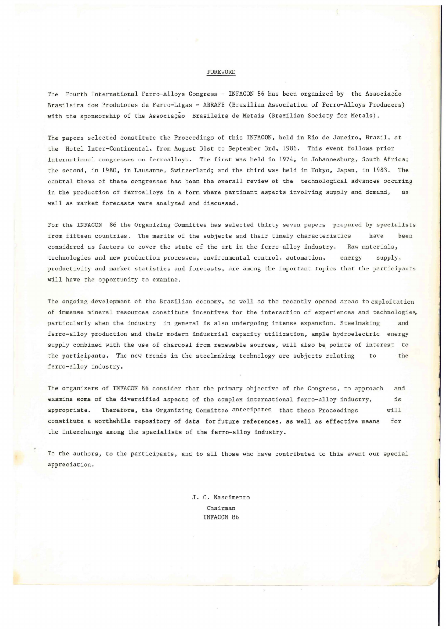#### FOREWORD

The Fourth International Ferro-Alloys Congress - INFACON 86 has been organized by the Associação Brasileira dos Produtores de Ferro-Ligas - ABRAFE (Brazilian Association of Ferro-Alloys Producers) with the sponsorship of the Associação Brasileira de Metais (Brazilian Society for Metals).

The papers selected constitute the Proceedings of this INFACON, held in Rio de Janeiro, Brazil, at the Hotel Inter-Continental, from August 31st to September 3rd, 1986. This event follows prior international congresses on ferroalloys. The first was held in 1974; in Johannesburg, South Africa; the second, in 1980, in Lausanne, Switzerland; and the third was held in Tokyo, Japan, in 1983. The central theme of these congresses has been the overall review of the technological advances occuring in the production of ferroalloys in a form where pertinent aspects involving supply and demand, as well as market forecasts were analyzed and discussed.

For the INFACON 86 the Organizing Committee has selected thirty seven papers prepared by specialists from fifteen countries. The merits of the subjects and their timely characteristics have been considered as factors to cover the state of the art in the ferro-alloy industry. Raw materials, technologies and new production processes, environmental control, automation, energy supply, productivity and market statistics and forecasts, are among the important topics that the participants will have the opportunity to examine.

The ongoing development of the Brazilian economy, as well as the recently opened areas to exploitation of immense mineral resources constitute incentives for the interaction of experiences and technologies, particularly when the industry in general is also undergoing intense expansion. Steelmaking and ferro-alloy production and their modern industrial capacity utilization, ample hydroelectric energy supply combined with the use of charcoal from renewable sources, will also be points of interest to the participants. The new trends in the steelmaking technology are subjects relating to the ferro-alloy industry.

The organizers of INFACON 86 consider that the primary objective of the Congress, to approach and examine some of the diversified aspects of the complex international ferro-alloy industry, is appropriate. Therefore, the Organizing Committee antecipates that these Proceedings will constitute a worthwhile repository of data for future references, as well as effective means for the interchange among the specialists of the ferro-alloy industry.

To the authors, to the participants, and to all those who have contributed to this event our special appreciation.

> J. O. Nascimento Chairman INFACON 86